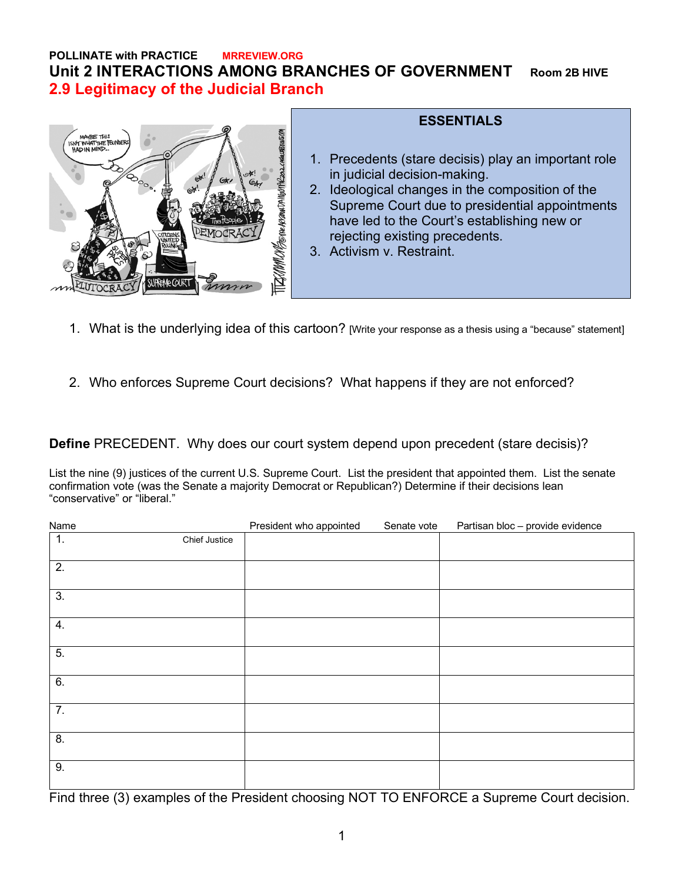## **POLLINATE with PRACTICE MRREVIEW.ORG Unit 2 INTERACTIONS AMONG BRANCHES OF GOVERNMENT Room 2B HIVE 2.9 Legitimacy of the Judicial Branch**



## **ESSENTIALS**

- 1. Precedents (stare decisis) play an important role in judicial decision-making.
- 2. Ideological changes in the composition of the Supreme Court due to presidential appointments have led to the Court's establishing new or rejecting existing precedents.
- 3. Activism v. Restraint.
- 1. What is the underlying idea of this cartoon? [Write your response as a thesis using a "because" statement]
- 2. Who enforces Supreme Court decisions? What happens if they are not enforced?

**Define** PRECEDENT. Why does our court system depend upon precedent (stare decisis)?

List the nine (9) justices of the current U.S. Supreme Court. List the president that appointed them. List the senate confirmation vote (was the Senate a majority Democrat or Republican?) Determine if their decisions lean "conservative" or "liberal."

| Name             |               | President who appointed | Senate vote | Partisan bloc - provide evidence |
|------------------|---------------|-------------------------|-------------|----------------------------------|
| 1.               | Chief Justice |                         |             |                                  |
| $\overline{2}$ . |               |                         |             |                                  |
| 3.               |               |                         |             |                                  |
| 4.               |               |                         |             |                                  |
| 5.               |               |                         |             |                                  |
| 6.               |               |                         |             |                                  |
| 7.               |               |                         |             |                                  |
| 8.               |               |                         |             |                                  |
| 9.               |               |                         |             |                                  |

Find three (3) examples of the President choosing NOT TO ENFORCE a Supreme Court decision.